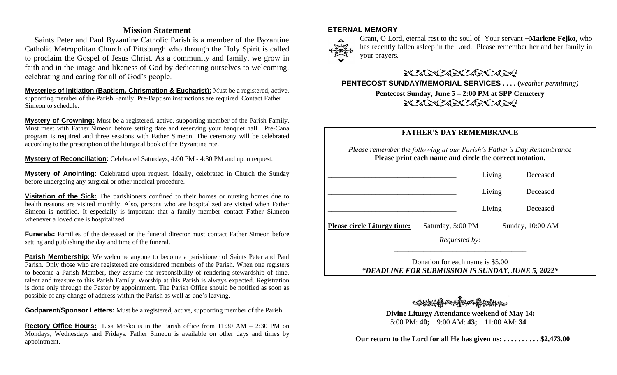### **Mission Statement**

 Saints Peter and Paul Byzantine Catholic Parish is a member of the Byzantine Catholic Metropolitan Church of Pittsburgh who through the Holy Spirit is called to proclaim the Gospel of Jesus Christ. As a community and family, we grow in faith and in the image and likeness of God by dedicating ourselves to welcoming, celebrating and caring for all of God's people.

**Mysteries of Initiation (Baptism, Chrismation & Eucharist):** Must be a registered, active, supporting member of the Parish Family. Pre-Baptism instructions are required. Contact Father Simeon to schedule.

**Mystery of Crowning:** Must be a registered, active, supporting member of the Parish Family. Must meet with Father Simeon before setting date and reserving your banquet hall. Pre-Cana program is required and three sessions with Father Simeon. The ceremony will be celebrated according to the prescription of the liturgical book of the Byzantine rite.

**Mystery of Reconciliation:** Celebrated Saturdays, 4:00 PM - 4:30 PM and upon request.

**Mystery of Anointing:** Celebrated upon request. Ideally, celebrated in Church the Sunday before undergoing any surgical or other medical procedure.

**Visitation of the Sick:** The parishioners confined to their homes or nursing homes due to health reasons are visited monthly. Also, persons who are hospitalized are visited when Father Simeon is notified. It especially is important that a family member contact Father Si.meon whenever a loved one is hospitalized.

**Funerals:** Families of the deceased or the funeral director must contact Father Simeon before setting and publishing the day and time of the funeral.

**Parish Membership:** We welcome anyone to become a parishioner of Saints Peter and Paul Parish. Only those who are registered are considered members of the Parish. When one registers to become a Parish Member, they assume the responsibility of rendering stewardship of time, talent and treasure to this Parish Family. Worship at this Parish is always expected. Registration is done only through the Pastor by appointment. The Parish Office should be notified as soon as possible of any change of address within the Parish as well as one's leaving.

**Godparent/Sponsor Letters:** Must be a registered, active, supporting member of the Parish.

**Rectory Office Hours:** Lisa Mosko is in the Parish office from 11:30 AM – 2:30 PM on Mondays, Wednesdays and Fridays. Father Simeon is available on other days and times by appointment.

#### **ETERNAL MEMORY**



Grant, O Lord, eternal rest to the soul of Your servant **+Marlene Fejko,** who has recently fallen asleep in the Lord. Please remember her and her family in your prayers.

NO ARACTER CARACTER **PENTECOST SUNDAY/MEMORIAL SERVICES . . . . (***weather permitting)*

> **Pentecost Sunday, June 5 – 2:00 PM at SPP Cemetery** NO ACTENCACIÓN DE

## **FATHER'S DAY REMEMBRANCE**

*Please remember the following at our Parish's Father's Day Remembrance* **Please print each name and circle the correct notation.**

|                                    | Requested by:<br>Donation for each name is \$5.00 |        |                  |
|------------------------------------|---------------------------------------------------|--------|------------------|
| <b>Please circle Liturgy time:</b> | Saturday, 5:00 PM                                 |        | Sunday, 10:00 AM |
|                                    |                                                   | Living | Deceased         |
|                                    |                                                   | Living | Deceased         |
|                                    |                                                   | Living | Deceased         |

*\*DEADLINE FOR SUBMISSION IS SUNDAY, JUNE 5, 2022\**

**Divine Liturgy Attendance weekend of May 14:** 5:00 PM: **40;** 9:00 AM: **43;** 11:00 AM: **34**

 **Our return to the Lord for all He has given us: . . . . . . . . . . \$2,473.00**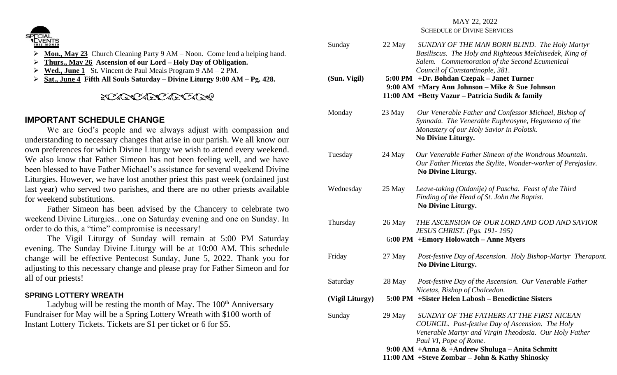

- Mon., May 23 Church Cleaning Party 9 AM Noon. Come lend a helping hand.
- ➢ **Thurs., May 26 Ascension of our Lord – Holy Day of Obligation.**
- ➢ **Wed., June 1** St. Vincent de Paul Meals Program 9 AM 2 PM.
- ➢ **Sat., June 4 Fifth All Souls Saturday – Divine Liturgy 9:00 AM – Pg. 428.**

# **NORTHERO AND CALLED**

## **IMPORTANT SCHEDULE CHANGE**

We are God's people and we always adjust with compassion and understanding to necessary changes that arise in our parish. We all know our own preferences for which Divine Liturgy we wish to attend every weekend. We also know that Father Simeon has not been feeling well, and we have been blessed to have Father Michael's assistance for several weekend Divine Liturgies. However, we have lost another priest this past week (ordained just last year) who served two parishes, and there are no other priests available for weekend substitutions.

Father Simeon has been advised by the Chancery to celebrate two weekend Divine Liturgies…one on Saturday evening and one on Sunday. In order to do this, a "time" compromise is necessary!

The Vigil Liturgy of Sunday will remain at 5:00 PM Saturday evening. The Sunday Divine Liturgy will be at 10:00 AM. This schedule change will be effective Pentecost Sunday, June 5, 2022. Thank you for adjusting to this necessary change and please pray for Father Simeon and for all of our priests!

### **SPRING LOTTERY WREATH**

Ladybug will be resting the month of May. The  $100<sup>th</sup>$  Anniversary Fundraiser for May will be a Spring Lottery Wreath with \$100 worth of Instant Lottery Tickets. Tickets are \$1 per ticket or 6 for \$5.

#### MAY 22, 2022 SCHEDULE OF DIVINE SERVICES

| Sunday          | 22 May   | SUNDAY OF THE MAN BORN BLIND. The Holy Martyr<br>Basiliscus. The Holy and Righteous Melchisedek, King of<br>Salem. Commemoration of the Second Ecumenical<br>Council of Constantinople, 381. |
|-----------------|----------|----------------------------------------------------------------------------------------------------------------------------------------------------------------------------------------------|
| (Sun. Vigil)    |          | 5:00 PM +Dr. Bohdan Czepak – Janet Turner<br>9:00 AM +Mary Ann Johnson - Mike & Sue Johnson<br>11:00 AM +Betty Vazur - Patricia Sudik & family                                               |
| Monday          | 23 May   | Our Venerable Father and Confessor Michael, Bishop of<br>Synnada. The Venerable Euphrosyne, Hegumena of the<br>Monastery of our Holy Savior in Polotsk.<br>No Divine Liturgy.                |
| Tuesday         | 24 May   | Our Venerable Father Simeon of the Wondrous Mountain.<br>Our Father Nicetas the Stylite, Wonder-worker of Perejaslav.<br>No Divine Liturgy.                                                  |
| Wednesday       | $25$ May | Leave-taking (Otdanije) of Pascha. Feast of the Third<br>Finding of the Head of St. John the Baptist.<br>No Divine Liturgy.                                                                  |
| Thursday        | 26 May   | THE ASCENSION OF OUR LORD AND GOD AND SAVIOR<br><b>JESUS CHRIST.</b> (Pgs. 191-195)<br>6:00 PM + Emory Holowatch - Anne Myers                                                                |
| Friday          | 27 May   | Post-festive Day of Ascension. Holy Bishop-Martyr Therapont.<br>No Divine Liturgy.                                                                                                           |
| Saturday        | 28 May   | Post-festive Day of the Ascension. Our Venerable Father<br>Nicetas, Bishop of Chalcedon.                                                                                                     |
| (Vigil Liturgy) |          | 5:00 PM + Sister Helen Labosh – Benedictine Sisters                                                                                                                                          |
| Sunday          | 29 May   | SUNDAY OF THE FATHERS AT THE FIRST NICEAN<br>COUNCIL. Post-festive Day of Ascension. The Holy<br>Venerable Martyr and Virgin Theodosia. Our Holy Father<br>Paul VI, Pope of Rome.            |
|                 |          | 9:00 AM + Anna $\&$ + Andrew Shuluga – Anita Schmitt<br>11:00 AM +Steve Zombar - John & Kathy Shinosky                                                                                       |